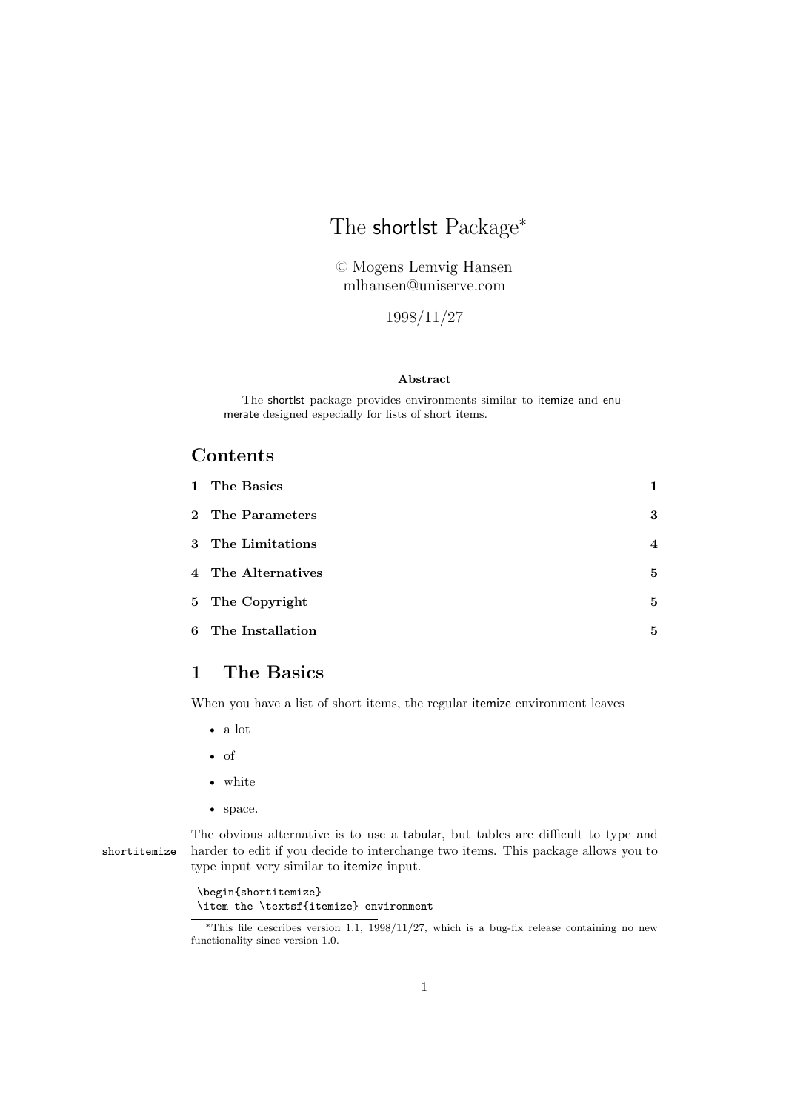# The shortlst Package<sup>\*</sup>

© Mogens Lemvig Hansen mlhansen@uniserve.com

1998/11/27

#### **Abstract**

The shortlst package provides environments similar to itemize and enumerate designed especially for lists of short items.

# **Contents**

| 1 The Basics       | 1                |
|--------------------|------------------|
| 2 The Parameters   | 3                |
| 3 The Limitations  | $\boldsymbol{4}$ |
| 4 The Alternatives | 5                |
| 5 The Copyright    | 5                |
| 6 The Installation | 5                |

# **1 The Basics**

When you have a list of short items, the regular itemize environment leaves

- a lot
- of
- white
- space.

The obvious alternative is to use a tabular, but tables are difficult to type and shortitemize harder to edit if you decide to interchange two items. This package allows you to type input very similar to itemize input.

> \begin{shortitemize} \item the \textsf{itemize} environment

<sup>∗</sup>This file describes version 1.1, 1998/11/27, which is a bug-fix release containing no new functionality since version 1.0.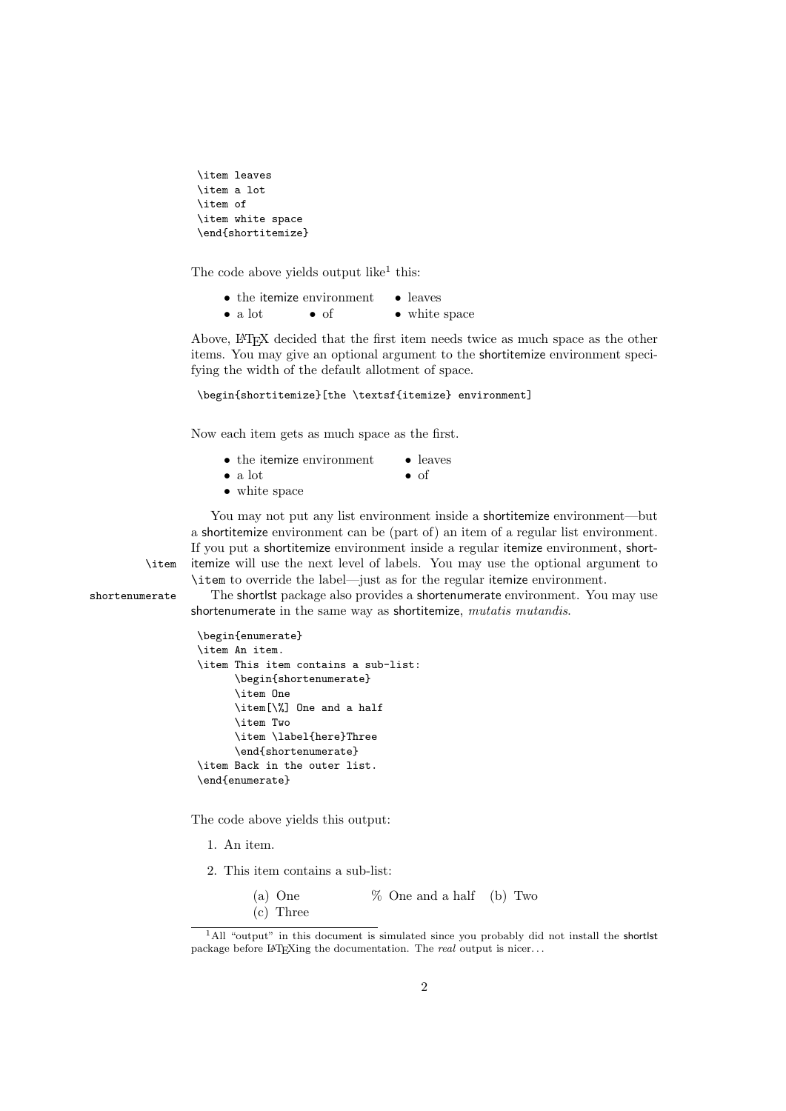```
\item leaves
\item a lot
\item of
\item white space
\end{shortitemize}
```
The code above yields output like<sup>1</sup> this:

 $\bullet$  the itemize environment  $\bullet$  leaves • a lot • of • white space

Above, LATEX decided that the first item needs twice as much space as the other items. You may give an optional argument to the shortitemize environment specifying the width of the default allotment of space.

```
\begin{shortitemize}[the \textsf{itemize} environment]
```
Now each item gets as much space as the first.

- the itemize environment leaves
- 
- $\bullet$  a lot  $\bullet$  of
- white space
- You may not put any list environment inside a shortitemize environment—but a shortitemize environment can be (part of) an item of a regular list environment. If you put a shortitemize environment inside a regular itemize environment, short- \item itemize will use the next level of labels. You may use the optional argument to \item to override the label—just as for the regular itemize environment.

shortenumerate The shortlst package also provides a shortenumerate environment. You may use shortenumerate in the same way as shortitemize, *mutatis mutandis*.

```
\begin{enumerate}
\item An item.
\item This item contains a sub-list:
      \begin{shortenumerate}
      \item One
      \item[\%] One and a half
      \item Two
      \item \label{here}Three
      \end{shortenumerate}
\item Back in the outer list.
\end{enumerate}
```
The code above yields this output:

1. An item.

2. This item contains a sub-list:

(a) One  $\%$  One and a half (b) Two (c) Three

<sup>&</sup>lt;sup>1</sup>All "output" in this document is simulated since you probably did not install the shortlst package before LATEXing the documentation. The *real* output is nicer. . .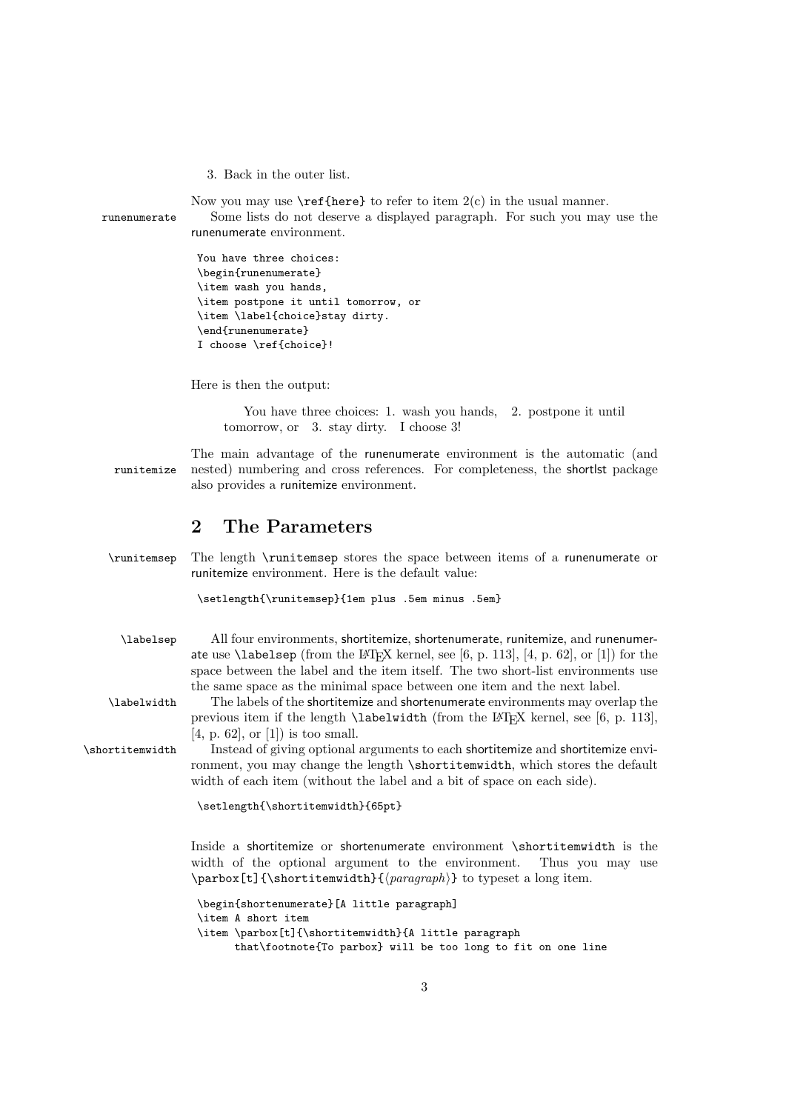3. Back in the outer list.

Now you may use  $\ref{here}$  to refer to item  $2(c)$  in the usual manner.

runenumerate Some lists do not deserve a displayed paragraph. For such you may use the runenumerate environment.

```
You have three choices:
\begin{runenumerate}
\item wash you hands,
\item postpone it until tomorrow, or
\item \label{choice}stay dirty.
\end{runenumerate}
I choose \ref{choice}!
```
Here is then the output:

You have three choices: 1. wash you hands, 2. postpone it until tomorrow, or 3. stay dirty. I choose 3!

The main advantage of the runenumerate environment is the automatic (and runitemize nested) numbering and cross references. For completeness, the shortlst package also provides a runitemize environment.

# **2 The Parameters**

\runitemsep The length \runitemsep stores the space between items of a runenumerate or runitemize environment. Here is the default value:

\setlength{\runitemsep}{1em plus .5em minus .5em}

\labelsep All four environments, shortitemize, shortenumerate, runitemize, and runenumerate use **\labelsep** (from the LAT<sub>E</sub>X kernel, see [6, p. 113], [4, p. 62], or [1]) for the space between the label and the item itself. The two short-list environments use the same space as the minimal space between one item and the next label.

\labelwidth The labels of the shortitemize and shortenumerate environments may overlap the previous item if the length  $\lambda$  abelwidth (from the LATEX kernel, see [6, p. 113], [4, p. 62], or [1]) is too small.

\shortitemwidth Instead of giving optional arguments to each shortitemize and shortitemize environment, you may change the length \shortitemwidth, which stores the default width of each item (without the label and a bit of space on each side).

\setlength{\shortitemwidth}{65pt}

Inside a shortitemize or shortenumerate environment \shortitemwidth is the width of the optional argument to the environment. Thus you may use \parbox[t]{\shortitemwidth}{ $\{paraph\}$  to typeset a long item.

```
\begin{shortenumerate}[A little paragraph]
\item A short item
\item \parbox[t]{\shortitemwidth}{A little paragraph
     that\footnote{To parbox} will be too long to fit on one line
```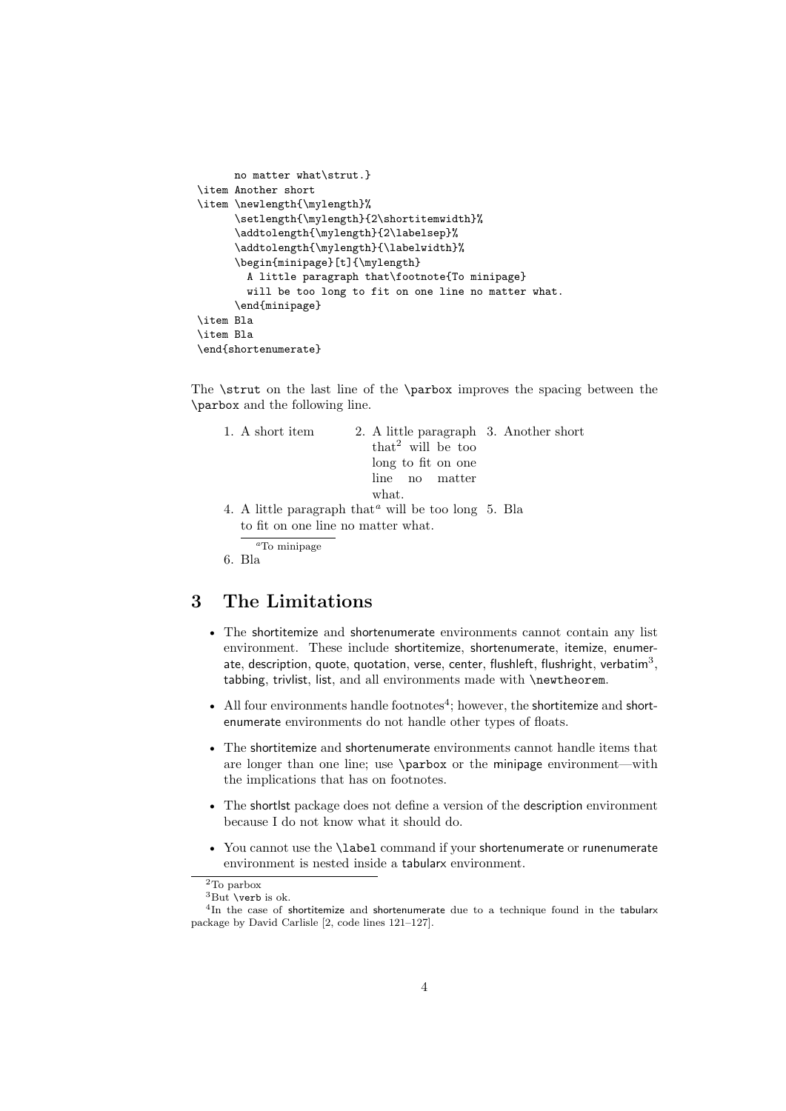```
no matter what\strut.}
\item Another short
\item \newlength{\mylength}%
     \setlength{\mylength}{2\shortitemwidth}%
     \addtolength{\mylength}{2\labelsep}%
      \addtolength{\mylength}{\labelwidth}%
      \begin{minipage}[t]{\mylength}
        A little paragraph that\footnote{To minipage}
        will be too long to fit on one line no matter what.
      \end{minipage}
\item Bla
\item Bla
\end{shortenumerate}
```
The \strut on the last line of the \parbox improves the spacing between the \parbox and the following line.

| 1. A short item                    | 2. A little paragraph 3. Another short              |  |  |  |
|------------------------------------|-----------------------------------------------------|--|--|--|
|                                    | that <sup>2</sup> will be too                       |  |  |  |
|                                    | long to fit on one                                  |  |  |  |
|                                    | line no matter                                      |  |  |  |
|                                    | what.                                               |  |  |  |
|                                    | 4. A little paragraph that "will be too long 5. Bla |  |  |  |
| to fit on one line no matter what. |                                                     |  |  |  |
| ${}^a$ To minipage                 |                                                     |  |  |  |
| 6. Bla                             |                                                     |  |  |  |

# **3 The Limitations**

- The shortitemize and shortenumerate environments cannot contain any list environment. These include shortitemize, shortenumerate, itemize, enumerate, description, quote, quotation, verse, center, flushleft, flushright, verbatim<sup>3</sup>, tabbing, trivlist, list, and all environments made with \newtheorem.
- All four environments handle footnotes<sup>4</sup>; however, the shortitemize and shortenumerate environments do not handle other types of floats.
- The shortitemize and shortenumerate environments cannot handle items that are longer than one line; use \parbox or the minipage environment—with the implications that has on footnotes.
- The shortlst package does not define a version of the description environment because I do not know what it should do.
- You cannot use the **\label** command if your shortenumerate or runenumerate environment is nested inside a tabularx environment.

 $\overline{\text{2To}}$  parbox

 ${}^{3}$ But \verb is ok.

<sup>&</sup>lt;sup>4</sup>In the case of shortitemize and shortenumerate due to a technique found in the tabularx package by David Carlisle [2, code lines 121–127].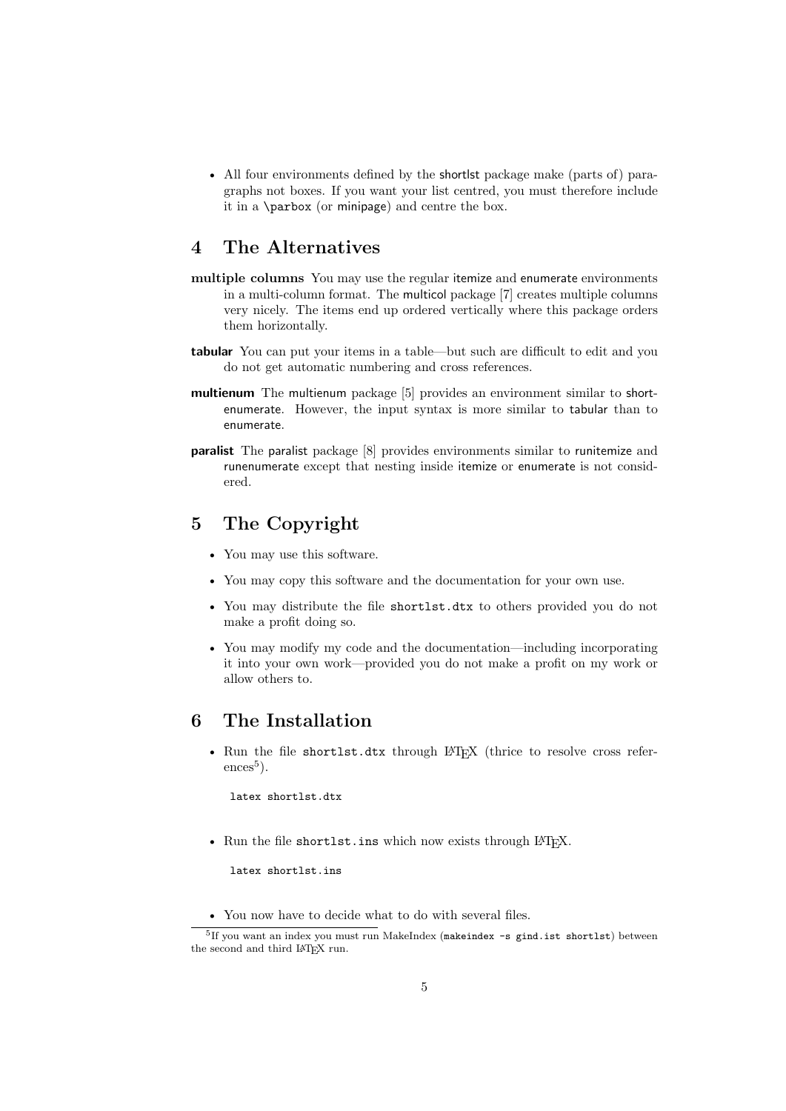• All four environments defined by the shortlst package make (parts of) paragraphs not boxes. If you want your list centred, you must therefore include it in a \parbox (or minipage) and centre the box.

## **4 The Alternatives**

- **multiple columns** You may use the regular itemize and enumerate environments in a multi-column format. The multicol package [7] creates multiple columns very nicely. The items end up ordered vertically where this package orders them horizontally.
- **tabular** You can put your items in a table—but such are difficult to edit and you do not get automatic numbering and cross references.
- **multienum** The multienum package [5] provides an environment similar to shortenumerate. However, the input syntax is more similar to tabular than to enumerate.
- **paralist** The paralist package [8] provides environments similar to runitemize and runenumerate except that nesting inside itemize or enumerate is not considered.

# **5 The Copyright**

- You may use this software.
- You may copy this software and the documentation for your own use.
- You may distribute the file shortlst.dtx to others provided you do not make a profit doing so.
- You may modify my code and the documentation—including incorporating it into your own work—provided you do not make a profit on my work or allow others to.

# **6 The Installation**

• Run the file shortlst.dtx through LAT<sub>EX</sub> (thrice to resolve cross refer- $\mathrm{ences}^5$ ).

latex shortlst.dtx

• Run the file shortlst.ins which now exists through LATFX.

latex shortlst.ins

• You now have to decide what to do with several files.

<sup>&</sup>lt;sup>5</sup>If you want an index you must run MakeIndex (makeindex -s gind.ist shortlst) between the second and third LATEX run.